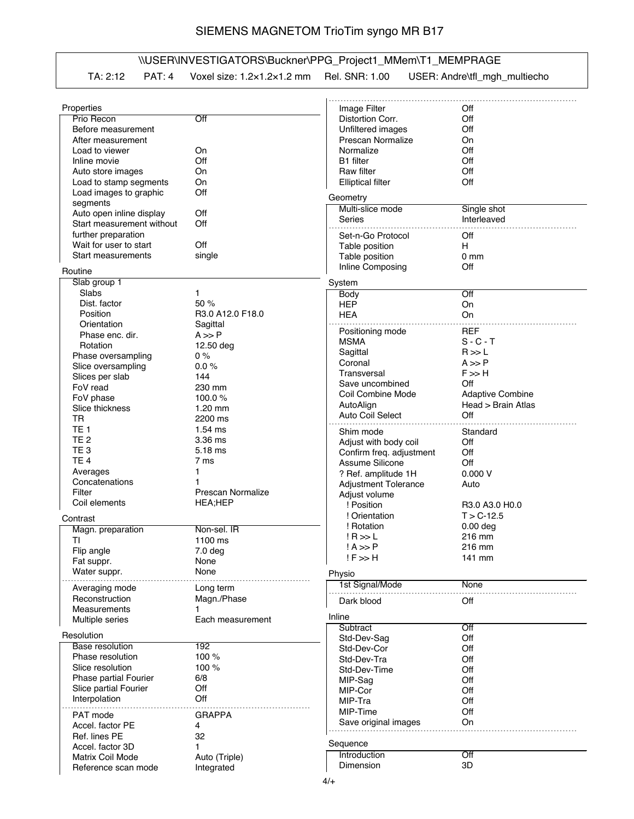## SIEMENS MAGNETOM TrioTim syngo MR B17

## \\USER\INVESTIGATORS\Buckner\PPG\_Project1\_MMem\T1\_MEMPRAGE

|  |  | TA: 2:12 PAT: 4 Voxel size: 1.2x1.2x1.2 mm Rel. SNR: 1.00 USER: Andre\tfl_mgh_multiecho |
|--|--|-----------------------------------------------------------------------------------------|
|  |  |                                                                                         |

| Properties                   |                          | Image Filter                                      | Off                     |
|------------------------------|--------------------------|---------------------------------------------------|-------------------------|
| Prio Recon                   | Off                      | Distortion Corr.                                  | Off                     |
| Before measurement           |                          | Unfiltered images                                 | Off                     |
| After measurement            |                          | Prescan Normalize                                 | On                      |
| Load to viewer               | On                       | Normalize                                         | Off                     |
| Inline movie                 | Off                      | <b>B1</b> filter                                  | Off                     |
| Auto store images            | On                       | Raw filter                                        | Off                     |
| Load to stamp segments       | On                       | <b>Elliptical filter</b>                          | Off                     |
| Load images to graphic       | Off                      |                                                   |                         |
| segments                     |                          | Geometry                                          |                         |
| Auto open inline display     | Off                      | Multi-slice mode                                  | Single shot             |
| Start measurement without    | Off                      | Series                                            | Interleaved             |
| further preparation          |                          | Set-n-Go Protocol                                 | Off                     |
| Wait for user to start       | Off                      | Table position                                    | н                       |
| Start measurements           | single                   | Table position                                    | 0 <sub>mm</sub>         |
|                              |                          | Inline Composing                                  | Off                     |
| Routine                      |                          |                                                   |                         |
| Slab group 1                 |                          | System                                            |                         |
| Slabs                        | 1                        | <b>Body</b>                                       | Off                     |
| Dist. factor                 | 50 %                     | <b>HEP</b>                                        | On                      |
| Position                     | R3.0 A12.0 F18.0         | <b>HEA</b>                                        | On                      |
| Orientation                  | Sagittal                 |                                                   |                         |
| Phase enc. dir.              | $A \gg P$                | Positioning mode                                  | <b>REF</b>              |
| Rotation                     | 12.50 deg                | <b>MSMA</b>                                       | $S - C - T$             |
| Phase oversampling           | 0%                       | Sagittal                                          | R >> L                  |
| Slice oversampling           | $0.0 \%$                 | Coronal                                           | $A \gg P$               |
| Slices per slab              | 144                      | Transversal                                       | $F \gg H$               |
| FoV read                     | 230 mm                   | Save uncombined                                   | Off                     |
| FoV phase                    | 100.0%                   | Coil Combine Mode                                 | <b>Adaptive Combine</b> |
| Slice thickness              | $1.20$ mm                | AutoAlign                                         | Head > Brain Atlas      |
| <b>TR</b>                    | 2200 ms                  | Auto Coil Select                                  | Off                     |
| TE <sub>1</sub>              | $1.54$ ms                | Shim mode                                         | Standard                |
| TE <sub>2</sub>              | 3.36 ms                  |                                                   | Off                     |
| TE <sub>3</sub>              | 5.18 ms                  | Adjust with body coil<br>Confirm freq. adjustment | Off                     |
| TE <sub>4</sub>              | 7 ms                     |                                                   |                         |
| Averages                     |                          | Assume Silicone                                   | Off                     |
| Concatenations               |                          | ? Ref. amplitude 1H                               | 0.000V                  |
| Filter                       | <b>Prescan Normalize</b> | <b>Adjustment Tolerance</b>                       | Auto                    |
| Coil elements                | <b>HEA;HEP</b>           | Adjust volume                                     |                         |
|                              |                          | ! Position                                        | R3.0 A3.0 H0.0          |
| Contrast                     |                          | ! Orientation                                     | $T > C - 12.5$          |
| Magn. preparation            | Non-sel. IR              | ! Rotation                                        | $0.00$ deg              |
| ΤI                           | 1100 ms                  | $IR \gg L$                                        | 216 mm                  |
| Flip angle                   | 7.0 <sub>deg</sub>       | $! A \gg P$                                       | 216 mm                  |
| Fat suppr.                   | None                     | $! F \gg H$                                       | 141 mm                  |
| Water suppr.                 | None                     | Physio                                            |                         |
|                              |                          | 1st Signal/Mode                                   | None                    |
| Averaging mode               | Long term                |                                                   |                         |
| Reconstruction               | Magn./Phase              | Dark blood                                        | Off                     |
| Measurements                 |                          | Inline                                            |                         |
| Multiple series              | Each measurement         |                                                   |                         |
| Resolution                   |                          | Subtract                                          | Off<br>Off              |
| <b>Base resolution</b>       | 192                      | Std-Dev-Sag                                       |                         |
| Phase resolution             | 100 %                    | Std-Dev-Cor                                       | Off                     |
| Slice resolution             | 100 %                    | Std-Dev-Tra                                       | Off                     |
| <b>Phase partial Fourier</b> | 6/8                      | Std-Dev-Time                                      | Off                     |
| Slice partial Fourier        | Off                      | MIP-Sag                                           | Off                     |
|                              | Off                      | MIP-Cor                                           | Off                     |
| Interpolation                |                          | MIP-Tra                                           | Off                     |
| PAT mode                     | <b>GRAPPA</b>            | MIP-Time                                          | Off                     |
| Accel. factor PE             | 4                        | Save original images                              | On                      |
| Ref. lines PE                | 32                       |                                                   |                         |
| Accel. factor 3D             | 1                        | Sequence                                          |                         |
| Matrix Coil Mode             | Auto (Triple)            | Introduction                                      | Off                     |
| Reference scan mode          | Integrated               | Dimension                                         | 3D                      |
|                              |                          |                                                   |                         |